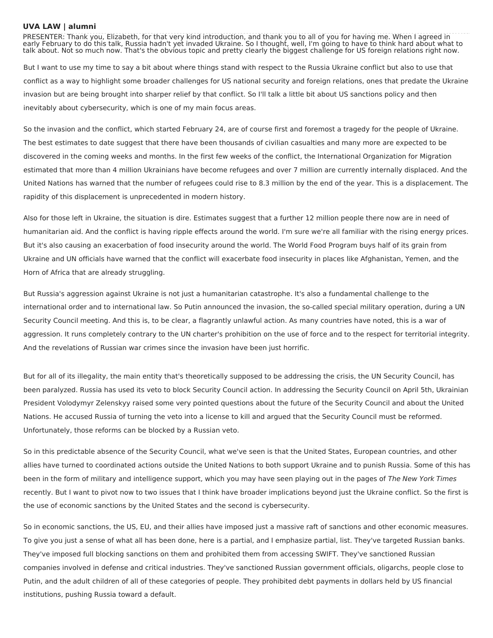## **UVA LAW | alumni**

PRESENTER: Thank you, Elizabeth, for that very kind introduction, and thank you to all of you for having me. When I agreed in early February to do this talk, Russia hadn't yet invaded Ukraine. So I thought, well, I'm going to have to think hard about what to talk about. Not so much now. That's the obvious topic and pretty clearly the biggest challenge for US foreign relations right now.

But I want to use my time to say a bit about where things stand with respect to the Russia Ukraine conflict but also to use that conflict as a way to highlight some broader challenges for US national security and foreign relations, ones that predate the Ukraine invasion but are being brought into sharper relief by that conflict. So I'll talk a little bit about US sanctions policy and then inevitably about cybersecurity, which is one of my main focus areas.

So the invasion and the conflict, which started February 24, are of course first and foremost a tragedy for the people of Ukraine. The best estimates to date suggest that there have been thousands of civilian casualties and many more are expected to be discovered in the coming weeks and months. In the first few weeks of the conflict, the International Organization for Migration estimated that more than 4 million Ukrainians have become refugees and over 7 million are currently internally displaced. And the United Nations has warned that the number of refugees could rise to 8.3 million by the end of the year. This is a displacement. The rapidity of this displacement is unprecedented in modern history.

Also for those left in Ukraine, the situation is dire. Estimates suggest that a further 12 million people there now are in need of humanitarian aid. And the conflict is having ripple effects around the world. I'm sure we're all familiar with the rising energy prices. But it's also causing an exacerbation of food insecurity around the world. The World Food Program buys half of its grain from Ukraine and UN officials have warned that the conflict will exacerbate food insecurity in places like Afghanistan, Yemen, and the Horn of Africa that are already struggling.

But Russia's aggression against Ukraine is not just a humanitarian catastrophe. It's also a fundamental challenge to the international order and to international law. So Putin announced the invasion, the so-called special military operation, during a UN Security Council meeting. And this is, to be clear, a flagrantly unlawful action. As many countries have noted, this is a war of aggression. It runs completely contrary to the UN charter's prohibition on the use of force and to the respect for territorial integrity. And the revelations of Russian war crimes since the invasion have been just horrific.

But for all of its illegality, the main entity that's theoretically supposed to be addressing the crisis, the UN Security Council, has been paralyzed. Russia has used its veto to block Security Council action. In addressing the Security Council on April 5th, Ukrainian President Volodymyr Zelenskyy raised some very pointed questions about the future of the Security Council and about the United Nations. He accused Russia of turning the veto into a license to kill and argued that the Security Council must be reformed. Unfortunately, those reforms can be blocked by a Russian veto.

So in this predictable absence of the Security Council, what we've seen is that the United States, European countries, and other allies have turned to coordinated actions outside the United Nations to both support Ukraine and to punish Russia. Some of this has been in the form of military and intelligence support, which you may have seen playing out in the pages of The New York Times recently. But I want to pivot now to two issues that I think have broader implications beyond just the Ukraine conflict. So the first is the use of economic sanctions by the United States and the second is cybersecurity.

So in economic sanctions, the US, EU, and their allies have imposed just a massive raft of sanctions and other economic measures. To give you just a sense of what all has been done, here is a partial, and I emphasize partial, list. They've targeted Russian banks. They've imposed full blocking sanctions on them and prohibited them from accessing SWIFT. They've sanctioned Russian companies involved in defense and critical industries. They've sanctioned Russian government officials, oligarchs, people close to Putin, and the adult children of all of these categories of people. They prohibited debt payments in dollars held by US financial institutions, pushing Russia toward a default.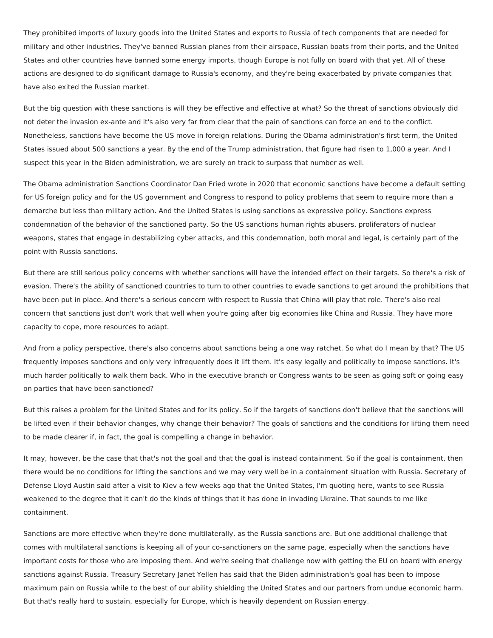They prohibited imports of luxury goods into the United States and exports to Russia of tech components that are needed for military and other industries. They've banned Russian planes from their airspace, Russian boats from their ports, and the United States and other countries have banned some energy imports, though Europe is not fully on board with that yet. All of these actions are designed to do significant damage to Russia's economy, and they're being exacerbated by private companies that have also exited the Russian market.

But the big question with these sanctions is will they be effective and effective at what? So the threat of sanctions obviously did not deter the invasion ex-ante and it's also very far from clear that the pain of sanctions can force an end to the conflict. Nonetheless, sanctions have become the US move in foreign relations. During the Obama administration's first term, the United States issued about 500 sanctions a year. By the end of the Trump administration, that figure had risen to 1,000 a year. And I suspect this year in the Biden administration, we are surely on track to surpass that number as well.

The Obama administration Sanctions Coordinator Dan Fried wrote in 2020 that economic sanctions have become a default setting for US foreign policy and for the US government and Congress to respond to policy problems that seem to require more than a demarche but less than military action. And the United States is using sanctions as expressive policy. Sanctions express condemnation of the behavior of the sanctioned party. So the US sanctions human rights abusers, proliferators of nuclear weapons, states that engage in destabilizing cyber attacks, and this condemnation, both moral and legal, is certainly part of the point with Russia sanctions.

But there are still serious policy concerns with whether sanctions will have the intended effect on their targets. So there's a risk of evasion. There's the ability of sanctioned countries to turn to other countries to evade sanctions to get around the prohibitions that have been put in place. And there's a serious concern with respect to Russia that China will play that role. There's also real concern that sanctions just don't work that well when you're going after big economies like China and Russia. They have more capacity to cope, more resources to adapt.

And from a policy perspective, there's also concerns about sanctions being a one way ratchet. So what do I mean by that? The US frequently imposes sanctions and only very infrequently does it lift them. It's easy legally and politically to impose sanctions. It's much harder politically to walk them back. Who in the executive branch or Congress wants to be seen as going soft or going easy on parties that have been sanctioned?

But this raises a problem for the United States and for its policy. So if the targets of sanctions don't believe that the sanctions will be lifted even if their behavior changes, why change their behavior? The goals of sanctions and the conditions for lifting them need to be made clearer if, in fact, the goal is compelling a change in behavior.

It may, however, be the case that that's not the goal and that the goal is instead containment. So if the goal is containment, then there would be no conditions for lifting the sanctions and we may very well be in a containment situation with Russia. Secretary of Defense Lloyd Austin said after a visit to Kiev a few weeks ago that the United States, I'm quoting here, wants to see Russia weakened to the degree that it can't do the kinds of things that it has done in invading Ukraine. That sounds to me like containment.

Sanctions are more effective when they're done multilaterally, as the Russia sanctions are. But one additional challenge that comes with multilateral sanctions is keeping all of your co-sanctioners on the same page, especially when the sanctions have important costs for those who are imposing them. And we're seeing that challenge now with getting the EU on board with energy sanctions against Russia. Treasury Secretary Janet Yellen has said that the Biden administration's goal has been to impose maximum pain on Russia while to the best of our ability shielding the United States and our partners from undue economic harm. But that's really hard to sustain, especially for Europe, which is heavily dependent on Russian energy.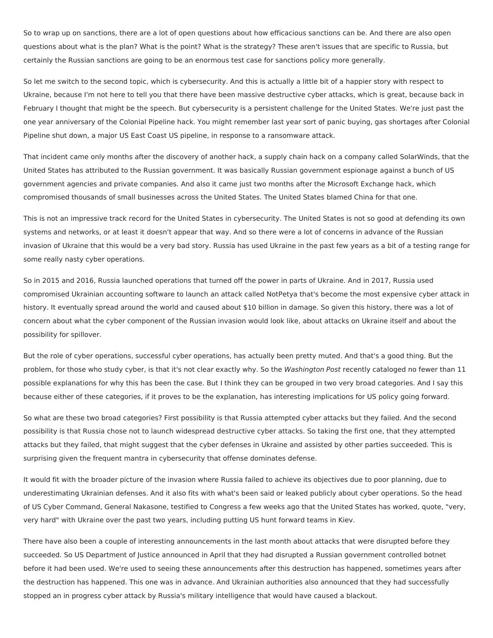So to wrap up on sanctions, there are a lot of open questions about how efficacious sanctions can be. And there are also open questions about what is the plan? What is the point? What is the strategy? These aren't issues that are specific to Russia, but certainly the Russian sanctions are going to be an enormous test case for sanctions policy more generally.

So let me switch to the second topic, which is cybersecurity. And this is actually a little bit of a happier story with respect to Ukraine, because I'm not here to tell you that there have been massive destructive cyber attacks, which is great, because back in February I thought that might be the speech. But cybersecurity is a persistent challenge for the United States. We're just past the one year anniversary of the Colonial Pipeline hack. You might remember last year sort of panic buying, gas shortages after Colonial Pipeline shut down, a major US East Coast US pipeline, in response to a ransomware attack.

That incident came only months after the discovery of another hack, a supply chain hack on a company called SolarWinds, that the United States has attributed to the Russian government. It was basically Russian government espionage against a bunch of US government agencies and private companies. And also it came just two months after the Microsoft Exchange hack, which compromised thousands of small businesses across the United States. The United States blamed China for that one.

This is not an impressive track record for the United States in cybersecurity. The United States is not so good at defending its own systems and networks, or at least it doesn't appear that way. And so there were a lot of concerns in advance of the Russian invasion of Ukraine that this would be a very bad story. Russia has used Ukraine in the past few years as a bit of a testing range for some really nasty cyber operations.

So in 2015 and 2016, Russia launched operations that turned off the power in parts of Ukraine. And in 2017, Russia used compromised Ukrainian accounting software to launch an attack called NotPetya that's become the most expensive cyber attack in history. It eventually spread around the world and caused about \$10 billion in damage. So given this history, there was a lot of concern about what the cyber component of the Russian invasion would look like, about attacks on Ukraine itself and about the possibility for spillover.

But the role of cyber operations, successful cyber operations, has actually been pretty muted. And that's a good thing. But the problem, for those who study cyber, is that it's not clear exactly why. So the Washington Post recently cataloged no fewer than 11 possible explanations for why this has been the case. But I think they can be grouped in two very broad categories. And I say this because either of these categories, if it proves to be the explanation, has interesting implications for US policy going forward.

So what are these two broad categories? First possibility is that Russia attempted cyber attacks but they failed. And the second possibility is that Russia chose not to launch widespread destructive cyber attacks. So taking the first one, that they attempted attacks but they failed, that might suggest that the cyber defenses in Ukraine and assisted by other parties succeeded. This is surprising given the frequent mantra in cybersecurity that offense dominates defense.

It would fit with the broader picture of the invasion where Russia failed to achieve its objectives due to poor planning, due to underestimating Ukrainian defenses. And it also fits with what's been said or leaked publicly about cyber operations. So the head of US Cyber Command, General Nakasone, testified to Congress a few weeks ago that the United States has worked, quote, "very, very hard" with Ukraine over the past two years, including putting US hunt forward teams in Kiev.

There have also been a couple of interesting announcements in the last month about attacks that were disrupted before they succeeded. So US Department of Justice announced in April that they had disrupted a Russian government controlled botnet before it had been used. We're used to seeing these announcements after this destruction has happened, sometimes years after the destruction has happened. This one was in advance. And Ukrainian authorities also announced that they had successfully stopped an in progress cyber attack by Russia's military intelligence that would have caused a blackout.